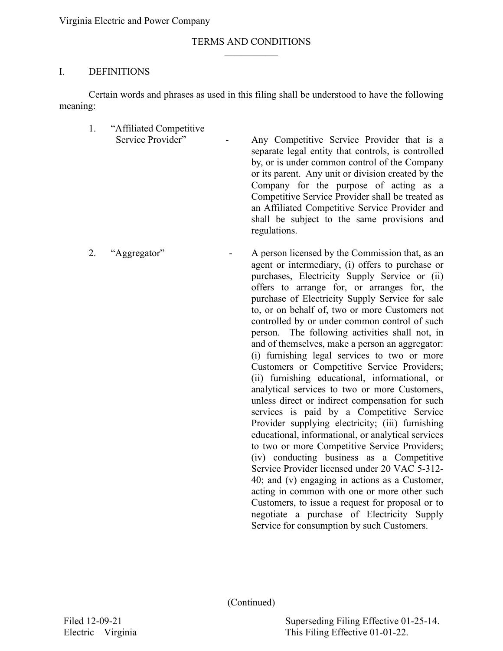#### TERMS AND CONDITIONS  $\mathcal{L}_\text{max}$

### I. DEFINITIONS

Certain words and phrases as used in this filing shall be understood to have the following meaning:

- 1. "Affiliated Competitive Service Provider" - Any Competitive Service Provider that is a separate legal entity that controls, is controlled by, or is under common control of the Company or its parent. Any unit or division created by the Company for the purpose of acting as a Competitive Service Provider shall be treated as an Affiliated Competitive Service Provider and shall be subject to the same provisions and regulations.
- 2. "Aggregator" A person licensed by the Commission that, as an agent or intermediary, (i) offers to purchase or purchases, Electricity Supply Service or (ii) offers to arrange for, or arranges for, the purchase of Electricity Supply Service for sale to, or on behalf of, two or more Customers not controlled by or under common control of such person. The following activities shall not, in and of themselves, make a person an aggregator: (i) furnishing legal services to two or more Customers or Competitive Service Providers; (ii) furnishing educational, informational, or analytical services to two or more Customers, unless direct or indirect compensation for such services is paid by a Competitive Service Provider supplying electricity; (iii) furnishing educational, informational, or analytical services to two or more Competitive Service Providers; (iv) conducting business as a Competitive Service Provider licensed under 20 VAC 5-312- 40; and (v) engaging in actions as a Customer, acting in common with one or more other such Customers, to issue a request for proposal or to negotiate a purchase of Electricity Supply Service for consumption by such Customers.

(Continued)

Superseding Filing Effective 01-25-14. This Filing Effective 01-01-22.

Filed 12-09-21 Electric – Virginia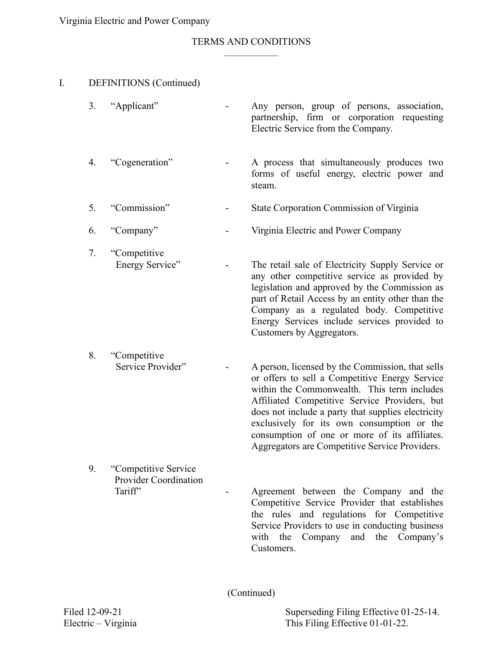#### TERMS AND CONDITIONS  $\mathcal{L}_\text{max}$

### I. DEFINITIONS (Continued)

| 3. "Applicant" |  |  |                                    | Any person, group of persons, association,  |
|----------------|--|--|------------------------------------|---------------------------------------------|
|                |  |  | Electric Service from the Company. | partnership, firm or corporation requesting |
|                |  |  |                                    |                                             |

- 4. "Cogeneration" A process that simultaneously produces two forms of useful energy, electric power and steam.
- 5. "Commission" State Corporation Commission of Virginia
- 6. "Company" Virginia Electric and Power Company
- 7. "Competitive Energy Service" - The retail sale of Electricity Supply Service or any other competitive service as provided by

- 8. "Competitive
	- Service Provider" A person, licensed by the Commission, that sells or offers to sell a Competitive Energy Service within the Commonwealth. This term includes Affiliated Competitive Service Providers, but does not include a party that supplies electricity exclusively for its own consumption or the consumption of one or more of its affiliates. Aggregators are Competitive Service Providers.

Customers by Aggregators.

legislation and approved by the Commission as part of Retail Access by an entity other than the Company as a regulated body. Competitive Energy Services include services provided to

9. "Competitive Service Provider Coordination Tariff" - Agreement between the Company and the Competitive Service Provider that establishes the rules and regulations for Competitive

Service Providers to use in conducting business with the Company and the Company's Customers.

(Continued)

Filed 12-09-21 Electric – Virginia Superseding Filing Effective 01-25-14. This Filing Effective 01-01-22.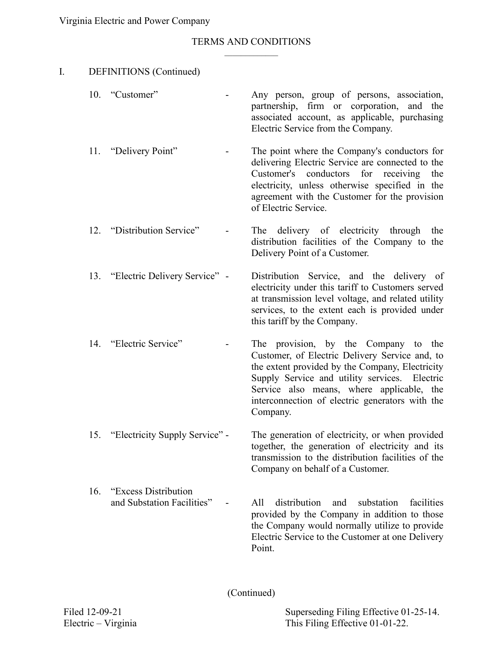#### TERMS AND CONDITIONS  $\mathcal{L}_\text{max}$

| I. |     | <b>DEFINITIONS</b> (Continued)                      |                                                                                                                                                                                                                                                                                                        |
|----|-----|-----------------------------------------------------|--------------------------------------------------------------------------------------------------------------------------------------------------------------------------------------------------------------------------------------------------------------------------------------------------------|
|    |     | 10. "Customer"                                      | Any person, group of persons, association,<br>partnership, firm or corporation, and the<br>associated account, as applicable, purchasing<br>Electric Service from the Company.                                                                                                                         |
|    |     | 11. "Delivery Point"                                | The point where the Company's conductors for<br>delivering Electric Service are connected to the<br>Customer's conductors for receiving<br>the<br>electricity, unless otherwise specified in the<br>agreement with the Customer for the provision<br>of Electric Service.                              |
|    |     | 12. "Distribution Service"                          | delivery of electricity<br>The<br>through<br>the<br>distribution facilities of the Company to the<br>Delivery Point of a Customer.                                                                                                                                                                     |
|    |     | 13. "Electric Delivery Service" -                   | Distribution Service, and the delivery of<br>electricity under this tariff to Customers served<br>at transmission level voltage, and related utility<br>services, to the extent each is provided under<br>this tariff by the Company.                                                                  |
|    |     | 14. "Electric Service"                              | The provision, by the Company to the<br>Customer, of Electric Delivery Service and, to<br>the extent provided by the Company, Electricity<br>Supply Service and utility services. Electric<br>Service also means, where applicable, the<br>interconnection of electric generators with the<br>Company. |
|    |     | 15. "Electricity Supply Service" -                  | The generation of electricity, or when provided<br>together, the generation of electricity and its<br>transmission to the distribution facilities of the<br>Company on behalf of a Customer.                                                                                                           |
|    | 16. | "Excess Distribution"<br>and Substation Facilities" | distribution<br>All<br>substation<br>facilities<br>and<br>provided by the Company in addition to those<br>the Company would normally utilize to provide<br>Electric Service to the Customer at one Delivery<br>Point.                                                                                  |

(Continued)

Superseding Filing Effective 01-25-14. This Filing Effective 01-01-22.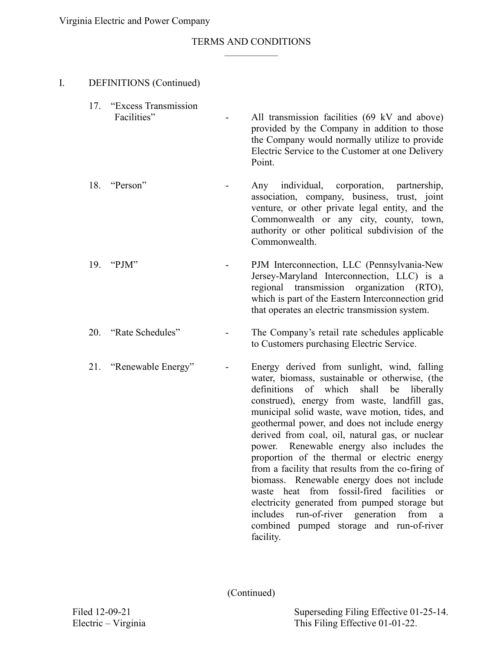#### TERMS AND CONDITIONS  $\mathcal{L}_\text{max}$

| I. | <b>DEFINITIONS</b> (Continued)           |                                                                                                                                                                                                                                                                                                                                                                                                                                                                                                                                                                                                                                                                                                                                                                                                  |
|----|------------------------------------------|--------------------------------------------------------------------------------------------------------------------------------------------------------------------------------------------------------------------------------------------------------------------------------------------------------------------------------------------------------------------------------------------------------------------------------------------------------------------------------------------------------------------------------------------------------------------------------------------------------------------------------------------------------------------------------------------------------------------------------------------------------------------------------------------------|
|    | 17. "Excess Transmission"<br>Facilities" | All transmission facilities (69 kV and above)<br>provided by the Company in addition to those<br>the Company would normally utilize to provide<br>Electric Service to the Customer at one Delivery<br>Point.                                                                                                                                                                                                                                                                                                                                                                                                                                                                                                                                                                                     |
|    | 18. "Person"                             | individual,<br>corporation, partnership,<br>Any<br>association, company, business, trust, joint<br>venture, or other private legal entity, and the<br>Commonwealth or any city, county, town,<br>authority or other political subdivision of the<br>Commonwealth.                                                                                                                                                                                                                                                                                                                                                                                                                                                                                                                                |
|    | 19. "PJM"                                | PJM Interconnection, LLC (Pennsylvania-New<br>Jersey-Maryland Interconnection, LLC) is a<br>regional transmission organization (RTO),<br>which is part of the Eastern Interconnection grid<br>that operates an electric transmission system.                                                                                                                                                                                                                                                                                                                                                                                                                                                                                                                                                     |
|    | 20. "Rate Schedules"                     | The Company's retail rate schedules applicable<br>to Customers purchasing Electric Service.                                                                                                                                                                                                                                                                                                                                                                                                                                                                                                                                                                                                                                                                                                      |
|    | 21. "Renewable Energy"                   | Energy derived from sunlight, wind, falling<br>water, biomass, sustainable or otherwise, (the<br>definitions<br>of which<br>shall<br>be<br>liberally<br>construed), energy from waste, landfill gas,<br>municipal solid waste, wave motion, tides, and<br>geothermal power, and does not include energy<br>derived from coal, oil, natural gas, or nuclear<br>power. Renewable energy also includes the<br>proportion of the thermal or electric energy<br>from a facility that results from the co-firing of<br>biomass. Renewable energy does not include<br>waste heat from fossil-fired facilities<br><sub>or</sub><br>electricity generated from pumped storage but<br>includes<br>run-of-river generation<br>from<br><sub>a</sub><br>combined pumped storage and run-of-river<br>facility. |

(Continued)

Superseding Filing Effective 01-25-14. This Filing Effective 01-01-22.